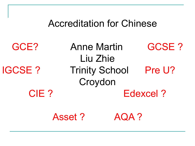# Accreditation for Chinese

GCE? Anne Martin GCSE ? Liu Zhie IGCSE ? Trinity School Pre U? Croydon CIE ? Edexcel ?

Asset ? AQA ?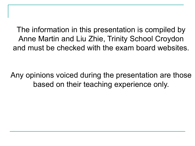The information in this presentation is compiled by Anne Martin and Liu Zhie, Trinity School Croydon and must be checked with the exam board websites.

Any opinions voiced during the presentation are those based on their teaching experience only.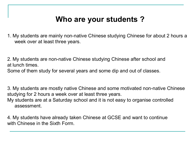# **Who are your students ?**

1. My students are mainly non-native Chinese studying Chinese for about 2 hours a week over at least three years.

2. My students are non-native Chinese studying Chinese after school and at lunch times.

Some of them study for several years and some dip and out of classes.

3. My students are mostly native Chinese and some motivated non-native Chinese studying for 2 hours a week over at least three years. My students are at a Saturday school and it is not easy to organise controlled assessment.

4. My students have already taken Chinese at GCSE and want to continue with Chinese in the Sixth Form.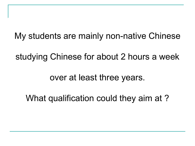My students are mainly non-native Chinese

studying Chinese for about 2 hours a week

over at least three years.

What qualification could they aim at ?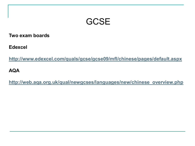# **GCSE**

**Two exam boards**

**Edexcel** 

**<http://www.edexcel.com/quals/gcse/gcse09/mfl/chinese/pages/default.aspx>**

**AQA**

**[http://web.aqa.org.uk/qual/newgcses/languages/new/chinese\\_overview.php](http://web.aqa.org.uk/qual/newgcses/languages/new/chinese_overview.php)**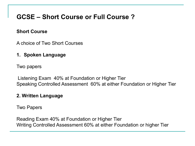## **GCSE – Short Course or Full Course ?**

### **Short Course**

A choice of Two Short Courses

**1. Spoken Language** 

Two papers

Listening Exam 40% at Foundation or Higher Tier Speaking Controlled Assessment 60% at either Foundation or Higher Tier

### **2. Written Language**

Two Papers

Reading Exam 40% at Foundation or Higher Tier Writing Controlled Assessment 60% at either Foundation or higher Tier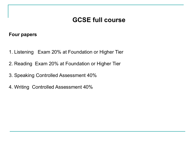### **GCSE full course**

### **Four papers**

- 1. Listening Exam 20% at Foundation or Higher Tier
- 2. Reading Exam 20% at Foundation or Higher Tier
- 3. Speaking Controlled Assessment 40%
- 4. Writing Controlled Assessment 40%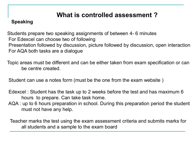## **What is controlled assessment ?**

### **Speaking**

 Students prepare two speaking assignments of between 4- 6 minutes For Edexcel can choose two of following Presentation followed by discussion, picture followed by discussion, open interaction For AQA both tasks are a dialogue

 Topic areas must be different and can be either taken from exam specification or can be centre created.

Student can use a notes form (must be the one from the exam website )

 Edexcel : Student has the task up to 2 weeks before the test and has maximum 6 hours to prepare. Can take task home.

 AQA : up to 6 hours preparation in school. During this preparation period the student must not have any help.

 Teacher marks the test using the exam assessment criteria and submits marks for all students and a sample to the exam board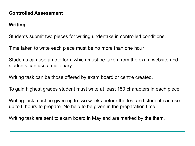### **Controlled Assessment**

### **Writing**

Students submit two pieces for writing undertake in controlled conditions.

Time taken to write each piece must be no more than one hour

Students can use a note form which must be taken from the exam website and students can use a dictionary

Writing task can be those offered by exam board or centre created.

To gain highest grades student must write at least 150 characters in each piece.

Writing task must be given up to two weeks before the test and student can use up to 6 hours to prepare. No help to be given in the preparation time.

Writing task are sent to exam board in May and are marked by the them.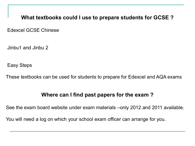**What textbooks could I use to prepare students for GCSE ?**

Edexcel GCSE Chinese

Jinbu1 and Jinbu 2

Easy Steps

These textbooks can be used for students to prepare for Edexcel and AQA exams

### **Where can I find past papers for the exam ?**

See the exam board website under exam materials –only 2012 and 2011 available.

You will need a log on which your school exam officer can arrange for you.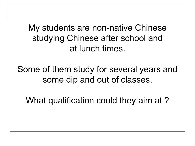My students are non-native Chinese studying Chinese after school and at lunch times.

Some of them study for several years and some dip and out of classes.

What qualification could they aim at ?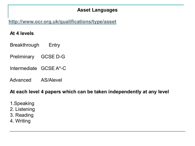### **Asset Languages**

### **<http://www.ocr.org.uk/qualifications/type/asset>**

### **At 4 levels**

Breakthrough Entry

Preliminary GCSE D-G

Intermediate GCSE A\*-C

Advanced AS/Alevel

### **At each level 4 papers which can be taken independently at any level**

- 1.Speaking
- 2. Listening
- 3. Reading
- 4. Writing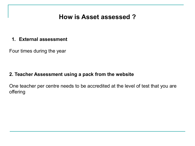### **How is Asset assessed ?**

#### **1. External assessment**

Four times during the year

### **2. Teacher Assessment using a pack from the website**

One teacher per centre needs to be accredited at the level of test that you are offering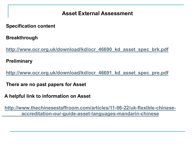### **Asset External Assessment**

 **Specification content**

 **Breakthrough**

 **[http://www.ocr.org.uk/download/kd/ocr\\_46690\\_kd\\_asset\\_spec\\_brk.pdf](http://www.ocr.org.uk/download/kd/ocr_46690_kd_asset_spec_brk.pdf)**

 **Preliminary**

 **[http://www.ocr.org.uk/download/kd/ocr\\_46691\\_kd\\_asset\\_spec\\_pre.pdf](http://www.ocr.org.uk/download/kd/ocr_46691_kd_asset_spec_pre.pdf)**

 **There are no past papers for Asset** 

 **A helpful link to information on Asset**

 **[http://www.thechinesestaffroom.com/articles/11-06-22/uk-flexible-chinese](http://www.thechinesestaffroom.com/articles/11-06-22/uk-flexible-chinese-accreditation-our-guide-asset-languages-mandarin-chinese)[accreditation-our-guide-asset-languages-mandarin-chinese](http://www.thechinesestaffroom.com/articles/11-06-22/uk-flexible-chinese-accreditation-our-guide-asset-languages-mandarin-chinese)**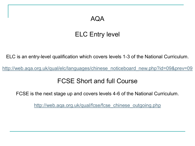### AQA

## ELC Entry level

ELC is an entry-level qualification which covers levels 1-3 of the National Curriculum.

[http://web.aqa.org.uk/qual/elc/languages/chinese\\_noticeboard\\_new.php?id=09&prev=09](http://web.aqa.org.uk/qual/elc/languages/chinese_noticeboard_new.php?id=09&prev=09)

### FCSE Short and full Course

FCSE is the next stage up and covers levels 4-6 of the National Curriculum.

http://web.aga.org.uk/qual/fcse/fcse\_chinese\_outgoing.php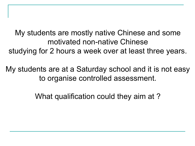My students are mostly native Chinese and some motivated non-native Chinese studying for 2 hours a week over at least three years.

My students are at a Saturday school and it is not easy to organise controlled assessment.

What qualification could they aim at ?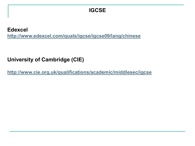### **IGCSE**

**Edexcel <http://www.edexcel.com/quals/igcse/igcse09/lang/chinese>**

### **University of Cambridge (CIE)**

**<http://www.cie.org.uk/qualifications/academic/middlesec/igcse>**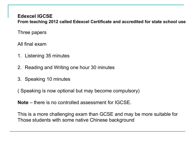### **Edexcel IGCSE**

**From teaching 2012 called Edexcel Certificate and accredited for state school use**

Three papers

All final exam

- 1. Listening 35 minutes
- 2. Reading and Writing one hour 30 minutes
- 3. Speaking 10 minutes

( Speaking is now optional but may become compulsory)

**Note** – there is no controlled assessment for IGCSE.

This is a more challenging exam than GCSE and may be more suitable for Those students with some native Chinese background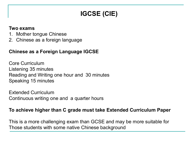# **IGCSE (CIE)**

#### **Two exams**

- 1. Mother tongue Chinese
- 2. Chinese as a foreign language

### **Chinese as a Foreign Language IGCSE**

Core Curriculum Listening 35 minutes Reading and Writing one hour and 30 minutes Speaking 15 minutes

Extended Curriculum Continuous writing one and a quarter hours

### **To achieve higher than C grade must take Extended Curriculum Paper**

This is a more challenging exam than GCSE and may be more suitable for Those students with some native Chinese background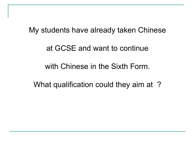# My students have already taken Chinese

# at GCSE and want to continue

# with Chinese in the Sixth Form.

What qualification could they aim at ?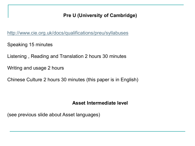### **Pre U (University of Cambridge)**

<http://www.cie.org.uk/docs/qualifications/preu/syllabuses>

Speaking 15 minutes

Listening , Reading and Translation 2 hours 30 minutes

Writing and usage 2 hours

Chinese Culture 2 hours 30 minutes (this paper is in English)

### **Asset Intermediate level**

(see previous slide about Asset languages)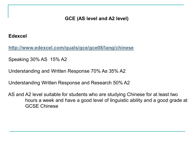### **GCE (AS level and A2 level)**

#### **Edexcel**

 **<http://www.edexcel.com/quals/gce/gce08/lang/chinese>**

Speaking 30% AS 15% A2

Understanding and Written Response 70% As 35% A2

Understanding Written Response and Research 50% A2

 AS and A2 level suitable for students who are studying Chinese for at least two hours a week and have a good level of linguistic ability and a good grade at GCSE Chinese